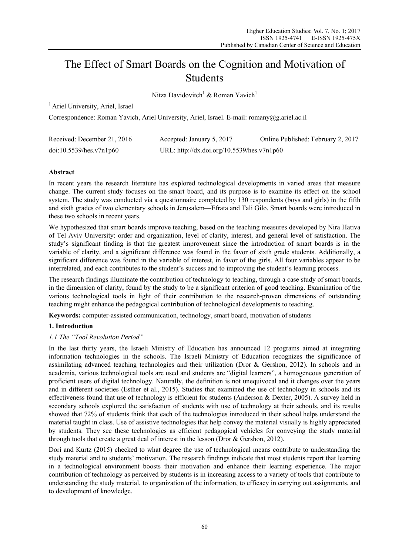# The Effect of Smart Boards on the Cognition and Motivation of Students

Nitza Davidovitch<sup>1</sup> & Roman Yavich<sup>1</sup>

<sup>1</sup> Ariel University, Ariel, Israel

Correspondence: Roman Yavich, Ariel University, Ariel, Israel. E-mail: romany@g.ariel.ac.il

| Received: December 21, 2016 | Accepted: January 5, 2017                  | Online Published: February 2, 2017 |
|-----------------------------|--------------------------------------------|------------------------------------|
| doi:10.5539/hes.v7n1p60     | URL: http://dx.doi.org/10.5539/hes.v7n1p60 |                                    |

# **Abstract**

In recent years the research literature has explored technological developments in varied areas that measure change. The current study focuses on the smart board, and its purpose is to examine its effect on the school system. The study was conducted via a questionnaire completed by 130 respondents (boys and girls) in the fifth and sixth grades of two elementary schools in Jerusalem—Efrata and Tali Gilo. Smart boards were introduced in these two schools in recent years.

We hypothesized that smart boards improve teaching, based on the teaching measures developed by Nira Hativa of Tel Aviv University: order and organization, level of clarity, interest, and general level of satisfaction. The study's significant finding is that the greatest improvement since the introduction of smart boards is in the variable of clarity, and a significant difference was found in the favor of sixth grade students. Additionally, a significant difference was found in the variable of interest, in favor of the girls. All four variables appear to be interrelated, and each contributes to the student's success and to improving the student's learning process.

The research findings illuminate the contribution of technology to teaching, through a case study of smart boards, in the dimension of clarity, found by the study to be a significant criterion of good teaching. Examination of the various technological tools in light of their contribution to the research-proven dimensions of outstanding teaching might enhance the pedagogical contribution of technological developments to teaching.

**Keywords:** computer-assisted communication, technology, smart board, motivation of students

# **1. Introduction**

# *1.1 The "Tool Revolution Period"*

In the last thirty years, the Israeli Ministry of Education has announced 12 programs aimed at integrating information technologies in the schools. The Israeli Ministry of Education recognizes the significance of assimilating advanced teaching technologies and their utilization (Dror & Gershon, 2012). In schools and in academia, various technological tools are used and students are "digital learners", a homogeneous generation of proficient users of digital technology. Naturally, the definition is not unequivocal and it changes over the years and in different societies (Esther et al., 2015). Studies that examined the use of technology in schools and its effectiveness found that use of technology is efficient for students (Anderson & Dexter, 2005). A survey held in secondary schools explored the satisfaction of students with use of technology at their schools, and its results showed that 72% of students think that each of the technologies introduced in their school helps understand the material taught in class. Use of assistive technologies that help convey the material visually is highly appreciated by students. They see these technologies as efficient pedagogical vehicles for conveying the study material through tools that create a great deal of interest in the lesson (Dror & Gershon, 2012).

Dori and Kurtz (2015) checked to what degree the use of technological means contribute to understanding the study material and to students' motivation. The research findings indicate that most students report that learning in a technological environment boosts their motivation and enhance their learning experience. The major contribution of technology as perceived by students is in increasing access to a variety of tools that contribute to understanding the study material, to organization of the information, to efficacy in carrying out assignments, and to development of knowledge.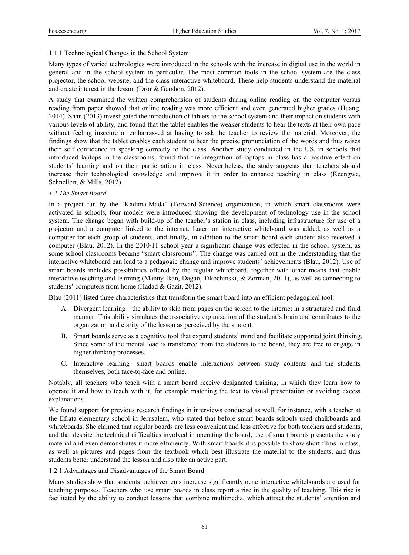## 1.1.1 Technological Changes in the School System

Many types of varied technologies were introduced in the schools with the increase in digital use in the world in general and in the school system in particular. The most common tools in the school system are the class projector, the school website, and the class interactive whiteboard. These help students understand the material and create interest in the lesson (Dror & Gershon, 2012).

A study that examined the written comprehension of students during online reading on the computer versus reading from paper showed that online reading was more efficient and even generated higher grades (Huang, 2014). Shan (2013) investigated the introduction of tablets to the school system and their impact on students with various levels of ability, and found that the tablet enables the weaker students to hear the texts at their own pace without feeling insecure or embarrassed at having to ask the teacher to review the material. Moreover, the findings show that the tablet enables each student to hear the precise pronunciation of the words and thus raises their self confidence in speaking correctly to the class. Another study conducted in the US, in schools that introduced laptops in the classrooms, found that the integration of laptops in class has a positive effect on students' learning and on their participation in class. Nevertheless, the study suggests that teachers should increase their technological knowledge and improve it in order to enhance teaching in class (Keengwe, Schnellert, & Mills, 2012).

## *1.2 The Smart Board*

In a project fun by the "Kadima-Mada" (Forward-Science) organization, in which smart classrooms were activated in schools, four models were introduced showing the development of technology use in the school system. The change began with build-up of the teacher's station in class, including infrastructure for use of a projector and a computer linked to the internet. Later, an interactive whiteboard was added, as well as a computer for each group of students, and finally, in addition to the smart board each student also received a computer (Blau, 2012). In the 2010/11 school year a significant change was effected in the school system, as some school classrooms became "smart classrooms". The change was carried out in the understanding that the interactive whiteboard can lead to a pedagogic change and improve students' achievements (Blau, 2012). Use of smart boards includes possibilities offered by the regular whiteboard, together with other means that enable interactive teaching and learning (Manny-Ikan, Dagan, Tikochinski, & Zorman, 2011), as well as connecting to students' computers from home (Hadad & Gazit, 2012).

Blau (2011) listed three characteristics that transform the smart board into an efficient pedagogical tool:

- A. Divergent learning—the ability to skip from pages on the screen to the internet in a structured and fluid manner. This ability simulates the associative organization of the student's brain and contributes to the organization and clarity of the lesson as perceived by the student.
- B. Smart boards serve as a cognitive tool that expand students' mind and facilitate supported joint thinking. Since some of the mental load is transferred from the students to the board, they are free to engage in higher thinking processes.
- C. Interactive learning—smart boards enable interactions between study contents and the students themselves, both face-to-face and online.

Notably, all teachers who teach with a smart board receive designated training, in which they learn how to operate it and how to teach with it, for example matching the text to visual presentation or avoiding excess explanations.

We found support for previous research findings in interviews conducted as well, for instance, with a teacher at the Efrata elementary school in Jerusalem, who stated that before smart boards schools used chalkboards and whiteboards. She claimed that regular boards are less convenient and less effective for both teachers and students, and that despite the technical difficulties involved in operating the board, use of smart boards presents the study material and even demonstrates it more efficiently. With smart boards it is possible to show short films in class, as well as pictures and pages from the textbook which best illustrate the material to the students, and thus students better understand the lesson and also take an active part.

## 1.2.1 Advantages and Disadvantages of the Smart Board

Many studies show that students' achievements increase significantly ocne interactive whiteboards are used for teaching purposes. Teachers who use smart boards in class report a rise in the quality of teaching. This rise is facilitated by the ability to conduct lessons that combine multimedia, which attract the students' attention and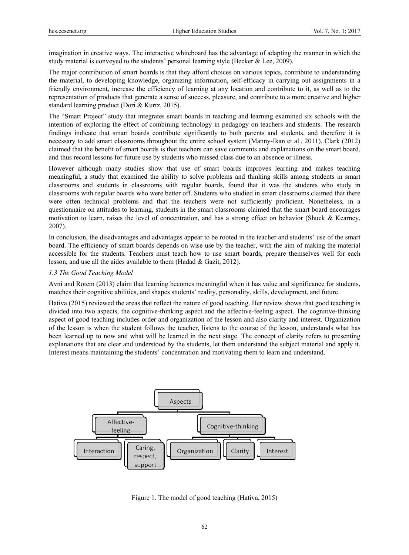imagination in creative ways. The interactive whiteboard has the advantage of adapting the manner in which the study material is conveyed to the students' personal learning style (Becker & Lee, 2009).

The major contribution of smart boards is that they afford choices on various topics, contribute to understanding the material, to developing knowledge, organizing information, self-efficacy in carrying out assignments in a friendly environment, increase the efficiency of learning at any location and contribute to it, as well as to the representation of products that generate a sense of success, pleasure, and contribute to a more creative and higher standard learning product (Dori & Kurtz, 2015).

The "Smart Project" study that integrates smart boards in teaching and learning examined six schools with the intention of exploring the effect of combining technology in pedagogy on teachers and students. The research findings indicate that smart boards contribute significantly to both parents and students, and therefore it is necessary to add smart classrooms throughout the entire school system (Manny-Ikan et al., 2011). Clark (2012) claimed that the benefit of smart boards is that teachers can save comments and explanations on the smart board, and thus record lessons for future use by students who missed class due to an absence or illness.

However although many studies show that use of smart boards improves learning and makes teaching meaningful, a study that examined the ability to solve problems and thinking skills among students in smart classrooms and students in classrooms with regular boards, found that it was the students who study in classrooms with regular boards who were better off. Students who studied in smart classrooms claimed that there were often technical problems and that the teachers were not sufficiently proficient. Nonetheless, in a questionnaire on attitudes to learning, students in the smart classrooms claimed that the smart board encourages motivation to learn, raises the level of concentration, and has a strong effect on behavior (Shuck & Kearney, 2007).

In conclusion, the disadvantages and advantages appear to be rooted in the teacher and students' use of the smart board. The efficiency of smart boards depends on wise use by the teacher, with the aim of making the material accessible for the students. Teachers must teach how to use smart boards, prepare themselves well for each lesson, and use all the aides available to them (Hadad & Gazit, 2012).

## *1.3 The Good Teaching Model*

Avni and Rotem (2013) claim that learning becomes meaningful when it has value and significance for students, matches their cognitive abilities, and shapes students' reality, personality, skills, development, and future.

Hativa (2015) reviewed the areas that reflect the nature of good teaching. Her review shows that good teaching is divided into two aspects, the cognitive-thinking aspect and the affective-feeling aspect. The cognitive-thinking aspect of good teaching includes order and organization of the lesson and also clarity and interest. Organization of the lesson is when the student follows the teacher, listens to the course of the lesson, understands what has been learned up to now and what will be learned in the next stage. The concept of clarity refers to presenting explanations that are clear and understood by the students, let them understand the subject material and apply it. Interest means maintaining the students' concentration and motivating them to learn and understand.



Figure 1. The model of good teaching (Hativa, 2015)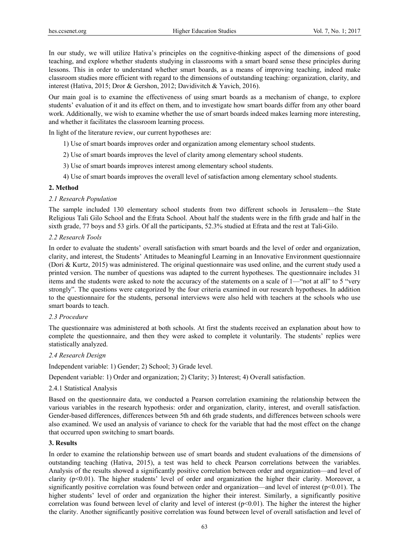In our study, we will utilize Hativa's principles on the cognitive-thinking aspect of the dimensions of good teaching, and explore whether students studying in classrooms with a smart board sense these principles during lessons. This in order to understand whether smart boards, as a means of improving teaching, indeed make classroom studies more efficient with regard to the dimensions of outstanding teaching: organization, clarity, and interest (Hativa, 2015; Dror & Gershon, 2012; Davidivitch & Yavich, 2016).

Our main goal is to examine the effectiveness of using smart boards as a mechanism of change, to explore students' evaluation of it and its effect on them, and to investigate how smart boards differ from any other board work. Additionally, we wish to examine whether the use of smart boards indeed makes learning more interesting, and whether it facilitates the classroom learning process.

In light of the literature review, our current hypotheses are:

- 1) Use of smart boards improves order and organization among elementary school students.
- 2) Use of smart boards improves the level of clarity among elementary school students.
- 3) Use of smart boards improves interest among elementary school students.
- 4) Use of smart boards improves the overall level of satisfaction among elementary school students.

#### **2. Method**

## *2.1 Research Population*

The sample included 130 elementary school students from two different schools in Jerusalem—the State Religious Tali Gilo School and the Efrata School. About half the students were in the fifth grade and half in the sixth grade, 77 boys and 53 girls. Of all the participants, 52.3% studied at Efrata and the rest at Tali-Gilo.

#### *2.2 Research Tools*

In order to evaluate the students' overall satisfaction with smart boards and the level of order and organization, clarity, and interest, the Students' Attitudes to Meaningful Learning in an Innovative Environment questionnaire (Dori & Kurtz, 2015) was administered. The original questionnaire was used online, and the current study used a printed version. The number of questions was adapted to the current hypotheses. The questionnaire includes 31 items and the students were asked to note the accuracy of the statements on a scale of 1—"not at all" to 5 "very strongly". The questions were categorized by the four criteria examined in our research hypotheses. In addition to the questionnaire for the students, personal interviews were also held with teachers at the schools who use smart boards to teach.

## *2.3 Procedure*

The questionnaire was administered at both schools. At first the students received an explanation about how to complete the questionnaire, and then they were asked to complete it voluntarily. The students' replies were statistically analyzed.

#### *2.4 Research Design*

Independent variable: 1) Gender; 2) School; 3) Grade level.

Dependent variable: 1) Order and organization; 2) Clarity; 3) Interest; 4) Overall satisfaction.

#### 2.4.1 Statistical Analysis

Based on the questionnaire data, we conducted a Pearson correlation examining the relationship between the various variables in the research hypothesis: order and organization, clarity, interest, and overall satisfaction. Gender-based differences, differences between 5th and 6th grade students, and differences between schools were also examined. We used an analysis of variance to check for the variable that had the most effect on the change that occurred upon switching to smart boards.

#### **3. Results**

In order to examine the relationship between use of smart boards and student evaluations of the dimensions of outstanding teaching (Hativa, 2015), a test was held to check Pearson correlations between the variables. Analysis of the results showed a significantly positive correlation between order and organization—and level of clarity (p<0.01). The higher students' level of order and organization the higher their clarity. Moreover, a significantly positive correlation was found between order and organization—and level of interest ( $p<0.01$ ). The higher students' level of order and organization the higher their interest. Similarly, a significantly positive correlation was found between level of clarity and level of interest  $(p<0.01)$ . The higher the interest the higher the clarity. Another significantly positive correlation was found between level of overall satisfaction and level of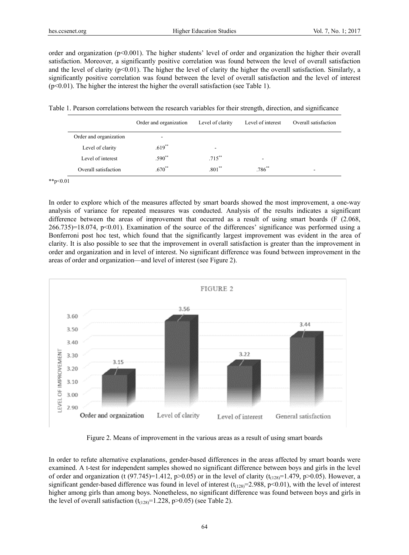order and organization ( $p<0.001$ ). The higher students' level of order and organization the higher their overall satisfaction. Moreover, a significantly positive correlation was found between the level of overall satisfaction and the level of clarity ( $p<0.01$ ). The higher the level of clarity the higher the overall satisfaction. Similarly, a significantly positive correlation was found between the level of overall satisfaction and the level of interest (p<0.01). The higher the interest the higher the overall satisfaction (see Table 1).

Table 1. Pearson correlations between the research variables for their strength, direction, and significance

|                        | Order and organization   | Level of clarity         | Level of interest        | Overall satisfaction |
|------------------------|--------------------------|--------------------------|--------------------------|----------------------|
| Order and organization | $\overline{\phantom{a}}$ |                          |                          |                      |
| Level of clarity       | $.619**$                 | $\overline{\phantom{a}}$ |                          |                      |
| Level of interest      | $.590**$                 | $.715***$                | $\overline{\phantom{a}}$ |                      |
| Overall satisfaction   | $.670^{**}$              | $.801**$                 | $.786^{**}$              |                      |

\*\*p<0.01

In order to explore which of the measures affected by smart boards showed the most improvement, a one-way analysis of variance for repeated measures was conducted. Analysis of the results indicates a significant difference between the areas of improvement that occurred as a result of using smart boards (F (2.068, 266.735)=18.074, p<0.01). Examination of the source of the differences' significance was performed using a Bonferroni post hoc test, which found that the significantly largest improvement was evident in the area of clarity. It is also possible to see that the improvement in overall satisfaction is greater than the improvement in order and organization and in level of interest. No significant difference was found between improvement in the areas of order and organization—and level of interest (see Figure 2).



Figure 2. Means of improvement in the various areas as a result of using smart boards

In order to refute alternative explanations, gender-based differences in the areas affected by smart boards were examined. A t-test for independent samples showed no significant difference between boys and girls in the level of order and organization (t (97.745)=1.412, p>0.05) or in the level of clarity ( $t_{(128)}$ =1.479, p>0.05). However, a significant gender-based difference was found in level of interest  $(t<sub>(128)</sub>=2.988, p<0.01)$ , with the level of interest higher among girls than among boys. Nonetheless, no significant difference was found between boys and girls in the level of overall satisfaction  $(t<sub>(128)</sub> = 1.228, p > 0.05)$  (see Table 2).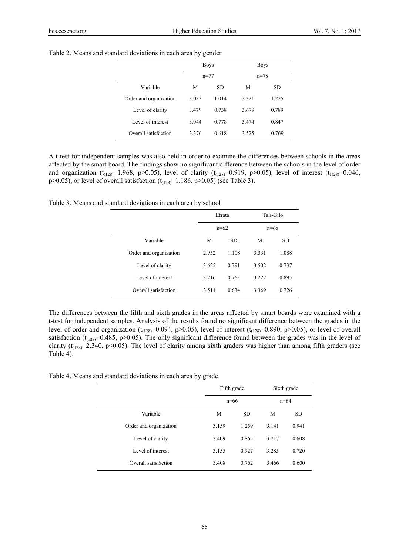|                        | <b>Boys</b> |       | <b>Boys</b> |       |
|------------------------|-------------|-------|-------------|-------|
|                        | $n = 77$    |       | $n = 78$    |       |
| Variable               | M           | SD.   | М           | SD.   |
| Order and organization | 3.032       | 1.014 | 3.321       | 1.225 |
| Level of clarity       | 3.479       | 0.738 | 3.679       | 0.789 |
| Level of interest      | 3.044       | 0.778 | 3.474       | 0.847 |
| Overall satisfaction   | 3.376       | 0.618 | 3.525       | 0.769 |

Table 2. Means and standard deviations in each area by gender

A t-test for independent samples was also held in order to examine the differences between schools in the areas affected by the smart board. The findings show no significant difference between the schools in the level of order and organization (t<sub>(128)</sub>=1.968, p>0.05), level of clarity (t<sub>(128)</sub>=0.919, p>0.05), level of interest (t<sub>(128)</sub>=0.046, p>0.05), or level of overall satisfaction  $(t_{(128)}=1.186, p>0.05)$  (see Table 3).

Table 3. Means and standard deviations in each area by school

|                        | Efrata<br>$n=62$ |       | Tali-Gilo |           |
|------------------------|------------------|-------|-----------|-----------|
|                        |                  |       | $n=68$    |           |
| Variable               | М                | SD.   | M         | <b>SD</b> |
| Order and organization | 2.952            | 1.108 | 3.331     | 1.088     |
| Level of clarity       | 3.625            | 0.791 | 3.502     | 0.737     |
| Level of interest      | 3.216            | 0.763 | 3.222     | 0.895     |
| Overall satisfaction   | 3.511            | 0.634 | 3.369     | 0.726     |

The differences between the fifth and sixth grades in the areas affected by smart boards were examined with a t-test for independent samples. Analysis of the results found no significant difference between the grades in the level of order and organization ( $t_{(128)}=0.094$ , p>0.05), level of interest ( $t_{(128)}=0.890$ , p>0.05), or level of overall satisfaction ( $t_{(128)}=0.485$ , p>0.05). The only significant difference found between the grades was in the level of clarity ( $t_{(128)}$ =2.340, p<0.05). The level of clarity among sixth graders was higher than among fifth graders (see Table 4).

Table 4. Means and standard deviations in each area by grade

 $\overline{\phantom{a}}$ 

|                        | Fifth grade<br>$n=66$ |           | Sixth grade |           |
|------------------------|-----------------------|-----------|-------------|-----------|
|                        |                       |           | $n = 64$    |           |
| Variable               | M                     | <b>SD</b> | М           | <b>SD</b> |
| Order and organization | 3.159                 | 1.259     | 3.141       | 0.941     |
| Level of clarity       | 3.409                 | 0.865     | 3.717       | 0.608     |
| Level of interest      | 3.155                 | 0.927     | 3.285       | 0.720     |
| Overall satisfaction   | 3.408                 | 0.762     | 3.466       | 0.600     |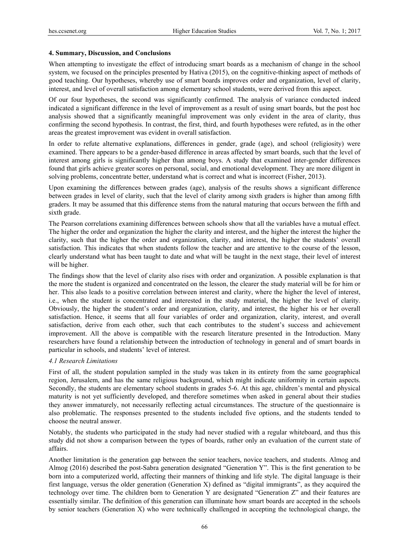## **4. Summary, Discussion, and Conclusions**

When attempting to investigate the effect of introducing smart boards as a mechanism of change in the school system, we focused on the principles presented by Hativa (2015), on the cognitive-thinking aspect of methods of good teaching. Our hypotheses, whereby use of smart boards improves order and organization, level of clarity, interest, and level of overall satisfaction among elementary school students, were derived from this aspect.

Of our four hypotheses, the second was significantly confirmed. The analysis of variance conducted indeed indicated a significant difference in the level of improvement as a result of using smart boards, but the post hoc analysis showed that a significantly meaningful improvement was only evident in the area of clarity, thus confirming the second hypothesis. In contrast, the first, third, and fourth hypotheses were refuted, as in the other areas the greatest improvement was evident in overall satisfaction.

In order to refute alternative explanations, differences in gender, grade (age), and school (religiosity) were examined. There appears to be a gender-based difference in areas affected by smart boards, such that the level of interest among girls is significantly higher than among boys. A study that examined inter-gender differences found that girls achieve greater scores on personal, social, and emotional development. They are more diligent in solving problems, concentrate better, understand what is correct and what is incorrect (Fisher, 2013).

Upon examining the differences between grades (age), analysis of the results shows a significant difference between grades in level of clarity, such that the level of clarity among sixth graders is higher than among fifth graders. It may be assumed that this difference stems from the natural maturing that occurs between the fifth and sixth grade.

The Pearson correlations examining differences between schools show that all the variables have a mutual effect. The higher the order and organization the higher the clarity and interest, and the higher the interest the higher the clarity, such that the higher the order and organization, clarity, and interest, the higher the students' overall satisfaction. This indicates that when students follow the teacher and are attentive to the course of the lesson, clearly understand what has been taught to date and what will be taught in the next stage, their level of interest will be higher.

The findings show that the level of clarity also rises with order and organization. A possible explanation is that the more the student is organized and concentrated on the lesson, the clearer the study material will be for him or her. This also leads to a positive correlation between interest and clarity, where the higher the level of interest, i.e., when the student is concentrated and interested in the study material, the higher the level of clarity. Obviously, the higher the student's order and organization, clarity, and interest, the higher his or her overall satisfaction. Hence, it seems that all four variables of order and organization, clarity, interest, and overall satisfaction, derive from each other, such that each contributes to the student's success and achievement improvement. All the above is compatible with the research literature presented in the Introduction. Many researchers have found a relationship between the introduction of technology in general and of smart boards in particular in schools, and students' level of interest.

## *4.1 Research Limitations*

First of all, the student population sampled in the study was taken in its entirety from the same geographical region, Jerusalem, and has the same religious background, which might indicate uniformity in certain aspects. Secondly, the students are elementary school students in grades 5-6. At this age, children's mental and physical maturity is not yet sufficiently developed, and therefore sometimes when asked in general about their studies they answer immaturely, not necessarily reflecting actual circumstances. The structure of the questionnaire is also problematic. The responses presented to the students included five options, and the students tended to choose the neutral answer.

Notably, the students who participated in the study had never studied with a regular whiteboard, and thus this study did not show a comparison between the types of boards, rather only an evaluation of the current state of affairs.

Another limitation is the generation gap between the senior teachers, novice teachers, and students. Almog and Almog (2016) described the post-Sabra generation designated "Generation Y". This is the first generation to be born into a computerized world, affecting their manners of thinking and life style. The digital language is their first language, versus the older generation (Generation X) defined as "digital immigrants", as they acquired the technology over time. The children born to Generation Y are designated "Generation Z" and their features are essentially similar. The definition of this generation can illuminate how smart boards are accepted in the schools by senior teachers (Generation X) who were technically challenged in accepting the technological change, the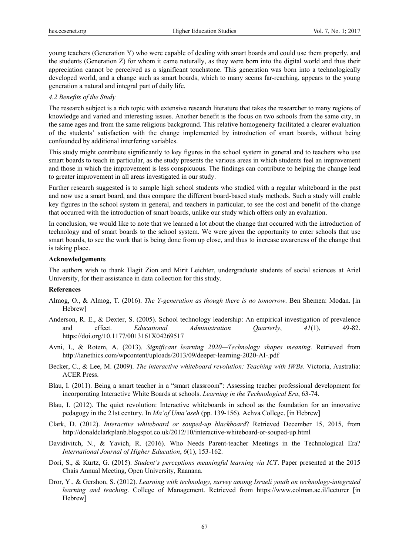young teachers (Generation Y) who were capable of dealing with smart boards and could use them properly, and the students (Generation Z) for whom it came naturally, as they were born into the digital world and thus their appreciation cannot be perceived as a significant touchstone. This generation was born into a technologically developed world, and a change such as smart boards, which to many seems far-reaching, appears to the young generation a natural and integral part of daily life.

#### *4.2 Benefits of the Study*

The research subject is a rich topic with extensive research literature that takes the researcher to many regions of knowledge and varied and interesting issues. Another benefit is the focus on two schools from the same city, in the same ages and from the same religious background. This relative homogeneity facilitated a clearer evaluation of the students' satisfaction with the change implemented by introduction of smart boards, without being confounded by additional interfering variables.

This study might contribute significantly to key figures in the school system in general and to teachers who use smart boards to teach in particular, as the study presents the various areas in which students feel an improvement and those in which the improvement is less conspicuous. The findings can contribute to helping the change lead to greater improvement in all areas investigated in our study.

Further research suggested is to sample high school students who studied with a regular whiteboard in the past and now use a smart board, and thus compare the different board-based study methods. Such a study will enable key figures in the school system in general, and teachers in particular, to see the cost and benefit of the change that occurred with the introduction of smart boards, unlike our study which offers only an evaluation.

In conclusion, we would like to note that we learned a lot about the change that occurred with the introduction of technology and of smart boards to the school system. We were given the opportunity to enter schools that use smart boards, to see the work that is being done from up close, and thus to increase awareness of the change that is taking place.

#### **Acknowledgements**

The authors wish to thank Hagit Zion and Mirit Leichter, undergraduate students of social sciences at Ariel University, for their assistance in data collection for this study.

#### **References**

- Almog, O., & Almog, T. (2016). *The Y-generation as though there is no tomorrow*. Ben Shemen: Modan. [in Hebrew]
- Anderson, R. E., & Dexter, S. (2005). School technology leadership: An empirical investigation of prevalence and effect. *Educational Administration Quarterly*, *41*(1), 49-82. https://doi.org/10.1177/0013161X04269517
- Avni, I., & Rotem, A. (2013). *Significant learning 2020—Technology shapes meaning*. Retrieved from http://ianethics.com/wpcontent/uploads/2013/09/deeper-learning-2020-AI-.pdf
- Becker, C., & Lee, M. (2009). *The interactive whiteboard revolution: Teaching with IWBs*. Victoria, Australia: ACER Press.
- Blau, I. (2011). Being a smart teacher in a "smart classroom": Assessing teacher professional development for incorporating Interactive White Boards at schools. *Learning in the Technological Era*, 63-74.
- Blau, I. (2012). The quiet revolution: Interactive whiteboards in school as the foundation for an innovative pedagogy in the 21st century. In *Ma'of Uma'aseh* (pp. 139-156). Achva College. [in Hebrew]
- Clark, D. (2012). *Interactive whiteboard or souped-up blackboard*? Retrieved December 15, 2015, from http://donaldclarkplanb.blogspot.co.uk/2012/10/interactive-whiteboard-or-souped-up.html
- Davidivitch, N., & Yavich, R. (2016). Who Needs Parent-teacher Meetings in the Technological Era? *International Journal of Higher Education*, *6*(1), 153-162.
- Dori, S., & Kurtz, G. (2015). *Student's perceptions meaningful learning via ICT*. Paper presented at the 2015 Chais Annual Meeting, Open University, Raanana.
- Dror, Y., & Gershon, S. (2012). *Learning with technology, survey among Israeli youth on technology-integrated learning and teaching*. College of Management. Retrieved from https://www.colman.ac.il/lecturer [in Hebrew]